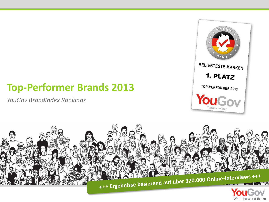*YouGov BrandIndex Rankings*



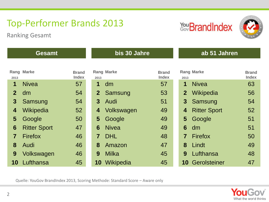Ranking Gesamt





| <b>Gesamt</b>  |                     |                              | bis 30 Jahre   |                   |                              | ab 51 Jahren              |                              |  |
|----------------|---------------------|------------------------------|----------------|-------------------|------------------------------|---------------------------|------------------------------|--|
|                |                     |                              |                |                   |                              |                           |                              |  |
| 2013           | <b>Rang Marke</b>   | <b>Brand</b><br><b>Index</b> | 2013           | <b>Rang Marke</b> | <b>Brand</b><br><b>Index</b> | <b>Rang Marke</b><br>2013 | <b>Brand</b><br><b>Index</b> |  |
| 1              | <b>Nivea</b>        | 57                           | 1              | dm                | 57                           | <b>Nivea</b><br>1         | 63                           |  |
| $\overline{2}$ | dm                  | 54                           | 2 <sup>1</sup> | Samsung           | 53                           | Wikipedia<br>2            | 56                           |  |
| 3              | Samsung             | 54                           | 3 <sup>1</sup> | Audi              | 51                           | Samsung<br>3              | 54                           |  |
| 4              | Wikipedia           | 52                           | 4              | Volkswagen        | 49                           | <b>Ritter Sport</b><br>4  | 52                           |  |
| 5              | Google              | 50                           | 5              | Google            | 49                           | $\overline{5}$<br>Google  | 51                           |  |
| 6              | <b>Ritter Sport</b> | 47                           | 6              | <b>Nivea</b>      | 49                           | 6<br>dm                   | 51                           |  |
| 7              | <b>Firefox</b>      | 46                           | $\overline{7}$ | <b>DHL</b>        | 48                           | <b>Firefox</b><br>7       | 50                           |  |
| 8              | Audi                | 46                           | 8              | Amazon            | 47                           | Lindt<br>8                | 49                           |  |
| 9              | Volkswagen          | 46                           | 9              | Milka             | 45                           | Lufthansa<br>9            | 48                           |  |
| 10             | Lufthansa           | 45                           | 10             | Wikipedia         | 45                           | <b>10 Gerolsteiner</b>    | 47                           |  |

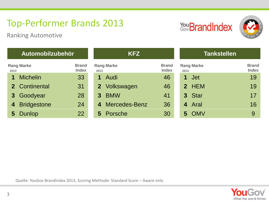Ranking Automotive





#### **Automobilzubehör KFZ Tankstellen Rang Marke Brand Index Rang Marke Brand Index 2013 2013 2013 Index 1** Michelin 33 **1** Audi 46 **1** Jet 19 **2** Continental 31 **2** Volkswagen 46 **3** Goodyear 28 **3** BMW 41 4 Bridgestone 24 4 Mercedes-Benz 36 **5** Dunlop 22 **5** Porsche 30 **5** OMV 9

| 2013 | <b>Rang Marke</b> | <b>Brand</b><br>Index |
|------|-------------------|-----------------------|
|      | 1 Jet             | 19                    |
|      | 2 HEM             | 19                    |
|      | 3 Star            | 17                    |
|      | 4 Aral            | 16                    |
|      | 5 OMV             | 9                     |

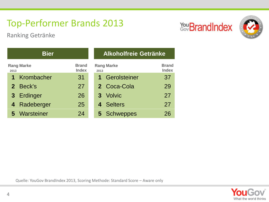Ranking Getränke





|      | <b>Bier</b>       |                              | <b>Alkoholfreie Getränke</b> |                              |  |  |
|------|-------------------|------------------------------|------------------------------|------------------------------|--|--|
| 2013 | <b>Rang Marke</b> | <b>Brand</b><br><b>Index</b> | <b>Rang Marke</b><br>2013    | <b>Brand</b><br><b>Index</b> |  |  |
|      | 1 Krombacher      | 31                           | 1 Gerolsteiner               | 37                           |  |  |
|      | 2 Beck's          | 27                           | 2 Coca-Cola                  | 29                           |  |  |
|      | 3 Erdinger        | 26                           | 3 Volvic                     | 27                           |  |  |
|      | 4 Radeberger      | 25                           | 4 Selters                    | 27                           |  |  |
|      | 5 Warsteiner      | 24                           | 5 Schweppes                  | 26                           |  |  |

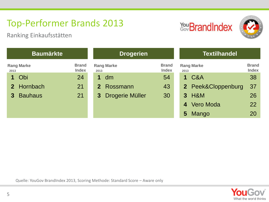Ranking Einkaufsstätten





| <b>Baumärkte</b> |                                  |                              | <b>Drogerien</b>            |                              | <b>Textilhandel</b>       |                              |  |
|------------------|----------------------------------|------------------------------|-----------------------------|------------------------------|---------------------------|------------------------------|--|
|                  | <b>Rang Marke</b><br>2013        | <b>Brand</b><br><b>Index</b> | <b>Rang Marke</b><br>2013   | <b>Brand</b><br><b>Index</b> | <b>Rang Marke</b><br>2013 | <b>Brand</b><br><b>Index</b> |  |
|                  | Obi<br>1                         | 24                           | dm                          | 54                           | <b>1 C&amp;A</b>          | 38                           |  |
|                  | 2 Hornbach                       | 21                           | 2 Rossmann                  | 43                           | 2 Peek&Cloppenburg        | -37                          |  |
|                  | <b>Bauhaus</b><br>3 <sup>1</sup> | 21                           | Drogerie Müller<br>$\bf{3}$ | 30                           | 3 H&M                     | 26                           |  |
|                  |                                  |                              |                             |                              | 4 Vero Moda               | 22                           |  |
|                  |                                  |                              |                             |                              | Mango<br>5 <sup>5</sup>   | 20                           |  |

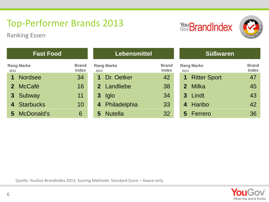Ranking Essen





| <b>Fast Food</b> |                   |                              |          | <b>Lebensmittel</b> |                              | <b>Süßwaren</b>                                           |  |  |
|------------------|-------------------|------------------------------|----------|---------------------|------------------------------|-----------------------------------------------------------|--|--|
| 2013             | <b>Rang Marke</b> | <b>Brand</b><br><b>Index</b> | 2013     | <b>Rang Marke</b>   | <b>Brand</b><br><b>Index</b> | <b>Brand</b><br><b>Rang Marke</b><br><b>Index</b><br>2013 |  |  |
|                  | <b>Nordsee</b>    | 34                           |          | Dr. Oetker          | 42                           | <b>Ritter Sport</b><br>47<br>1                            |  |  |
|                  | 2 McCafé          | 16                           |          | 2 Landliebe         | 38                           | Milka<br>45<br>2 <sup>1</sup>                             |  |  |
|                  | 3 Subway          | 11                           | $\bf{3}$ | lglo                | 34                           | 43<br>Lindt<br>3 <sup>1</sup>                             |  |  |
|                  | 4 Starbucks       | 10                           | 4        | Philadelphia        | 33                           | 42<br>Haribo<br>4                                         |  |  |
|                  | 5 McDonald's      | 6                            | 5        | <b>Nutella</b>      | 32                           | 36<br>Ferrero<br>5 <sup>5</sup>                           |  |  |

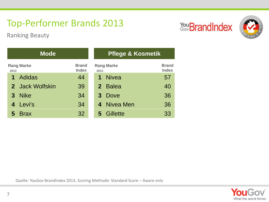Ranking Beauty





|      | <b>Mode</b>       |                              | <b>Pflege &amp; Kosmetik</b> |                              |  |  |
|------|-------------------|------------------------------|------------------------------|------------------------------|--|--|
| 2013 | <b>Rang Marke</b> | <b>Brand</b><br><b>Index</b> | <b>Rang Marke</b><br>2013    | <b>Brand</b><br><b>Index</b> |  |  |
| 1    | <b>Adidas</b>     | 44                           | <b>Nivea</b>                 | 57                           |  |  |
|      | 2 Jack Wolfskin   | 39                           | 2 Balea                      | 40                           |  |  |
|      | 3 Nike            | 34                           | 3 Dove                       | 36                           |  |  |
|      | 4 Levi's          | 34                           | 4 Nivea Men                  | 36                           |  |  |
|      | 5 Brax            | 32                           | 5 Gillette                   | 33                           |  |  |

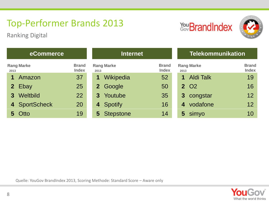Ranking Digital





| eCommerce                 |                              | <b>Internet</b>           |                              | <b>Telekommunikation</b>            |                              |  |
|---------------------------|------------------------------|---------------------------|------------------------------|-------------------------------------|------------------------------|--|
| <b>Rang Marke</b><br>2013 | <b>Brand</b><br><b>Index</b> | <b>Rang Marke</b><br>2013 | <b>Brand</b><br><b>Index</b> | <b>Rang Marke</b><br>2013           | <b>Brand</b><br><b>Index</b> |  |
| Amazon                    | 37                           | Wikipedia<br>$\mathbf 1$  | 52                           | <b>Aldi Talk</b><br>1               | 19                           |  |
| 2 Ebay                    | 25                           | 2 Google                  | 50                           | <b>2 O2</b>                         | 16                           |  |
| 3 Weltbild                | 22                           | Youtube<br>$3^{\circ}$    | 35                           | congstar<br>$\mathbf{3}$            | 12                           |  |
| 4 SportScheck             | 20                           | 4 Spotify                 | 16                           | vodafone<br>$\overline{\mathbf{4}}$ | 12                           |  |
| 5 Otto                    | 19                           | 5 Stepstone               | 14                           | simyo<br>5                          | 10                           |  |

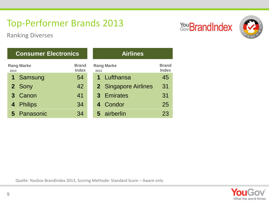You BrandIndex



Ranking Diverses

|      | <b>Consumer Electronics</b> |                              | <b>Airlines</b> |                      |                              |  |
|------|-----------------------------|------------------------------|-----------------|----------------------|------------------------------|--|
| 2013 | <b>Rang Marke</b>           | <b>Brand</b><br><b>Index</b> | 2013            | <b>Rang Marke</b>    | <b>Brand</b><br><b>Index</b> |  |
|      | 1 Samsung                   | 54                           |                 | 1 Lufthansa          | 45                           |  |
|      | 2 Sony                      | 42                           |                 | 2 Singapore Airlines | 31                           |  |
|      | 3 Canon                     | 41                           |                 | 3 Emirates           | 31                           |  |
|      | 4 Philips                   | 34                           |                 | 4 Condor             | 25                           |  |
|      | 5 Panasonic                 | 34                           |                 | 5 airberlin          | 23                           |  |